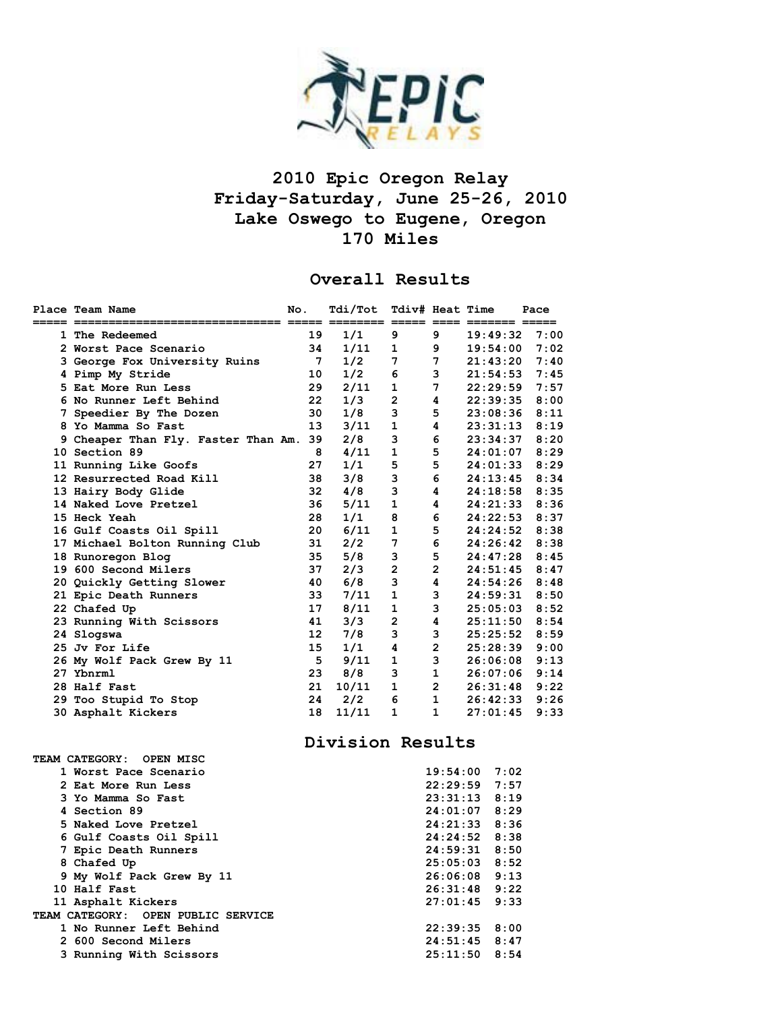

## **2010 Epic Oregon Relay Friday-Saturday, June 25-26, 2010 Lake Oswego to Eugene, Oregon 170 Miles**

## **Overall Results**

| Place Team Name                     | No.             | Tdi/Tot                           | Tdiv# Heat Time |                |                 | Pace |
|-------------------------------------|-----------------|-----------------------------------|-----------------|----------------|-----------------|------|
|                                     |                 | ======== ===== ==== ======= ===== |                 |                |                 |      |
| 1 The Redeemed                      | 19              | 1/1                               | 9               | 9              | 19:49:32        | 7:00 |
| 2 Worst Pace Scenario               | 34              | 1/11                              | 1               | 9              | 19:54:00        | 7:02 |
| 3 George Fox University Ruins       | 7               | 1/2                               | 7               | 7              | 21:43:20        | 7:40 |
| 4 Pimp My Stride                    | 10              | 1/2                               | 6               | 3              | 21:54:53        | 7:45 |
| 5 Eat More Run Less                 | 29              | 2/11                              | $\mathbf 1$     | 7              | 22:29:59        | 7:57 |
| 6 No Runner Left Behind             | 22              | 1/3                               | $\mathbf{2}$    | 4              | 22:39:35        | 8:00 |
| 7 Speedier By The Dozen             | 30              | 1/8                               | 3               | 5              | $23:08:36$ 8:11 |      |
| 8 Yo Mamma So Fast                  | 13              | 3/11                              | 1               | 4              | 23:31:13        | 8:19 |
| 9 Cheaper Than Fly. Faster Than Am. | 39              | 2/8                               | 3               | 6              | 23:34:37        | 8:20 |
| 10 Section 89                       | 8               | 4/11                              | $\mathbf{1}$    | 5              | 24:01:07        | 8:29 |
| 11 Running Like Goofs               | 27              | 1/1                               | 5               | 5              | 24:01:33        | 8:29 |
| 12 Resurrected Road Kill            | 38              | 3/8                               | 3               | 6              | 24:13:45        | 8:34 |
| 13 Hairy Body Glide                 | 32              | 4/8                               | 3               | 4              | $24:18:58$ 8:35 |      |
| 14 Naked Love Pretzel               | 36              | 5/11                              | $\mathbf{1}$    | 4              | 24:21:33        | 8:36 |
| 15 Heck Yeah                        | 28              | 1/1                               | 8               | 6              | 24:22:53        | 8:37 |
| 16 Gulf Coasts Oil Spill            | 20              | 6/11                              | 1               | 5              | 24:24:52        | 8:38 |
| 17 Michael Bolton Running Club      | 31              | 2/2                               | 7               | 6              | 24:26:42        | 8:38 |
| 18 Runoregon Blog                   | 35              | 5/8                               | з               | 5              | 24:47:28        | 8:45 |
| 19 600 Second Milers                | 37              | 2/3                               | $\overline{2}$  | $\overline{2}$ | $24:51:45$ 8:47 |      |
| 20 Quickly Getting Slower           | 40              | 6/8                               | 3               | 4              | 24:54:26        | 8:48 |
| 21 Epic Death Runners               | 33              | 7/11                              | $\mathbf{1}$    | 3              | 24:59:31        | 8:50 |
| 22 Chafed Up                        | 17              | 8/11                              | 1               | 3              | 25:05:03        | 8:52 |
| 23 Running With Scissors            | 41              | 3/3                               | $\overline{2}$  | 4              | 25:11:50        | 8:54 |
| 24 Slogswa                          | 12 <sup>2</sup> | 7/8                               | 3               | 3              | 25:25:52        | 8:59 |
| 25 Jy For Life                      | 15              | 1/1                               | 4               | $\overline{2}$ | 25:28:39        | 9:00 |
| 26 My Wolf Pack Grew By 11          | 5               | 9/11                              | 1               | 3              | 26:06:08        | 9:13 |
| 27 Ybnrml                           | 23              | 8/8                               | 3               | $\mathbf{1}$   | 26:07:06        | 9:14 |
| 28 Half Fast                        | 21              | 10/11                             | 1               | $\overline{2}$ | 26:31:48        | 9:22 |
| 29 Too Stupid To Stop               | 24              | 2/2                               | 6               | $\mathbf{1}$   | 26:42:33        | 9:26 |
| 30 Asphalt Kickers                  | 18              | 11/11                             | 1               | 1              | 27:01:45        | 9:33 |

**Division Results** 

| TEAM CATEGORY: OPEN MISC           |                 |  |
|------------------------------------|-----------------|--|
| 1 Worst Pace Scenario              | $19:54:00$ 7:02 |  |
| 2 Eat More Run Less                | $22:29:59$ 7:57 |  |
| 3 Yo Mamma So Fast                 | $23:31:13$ 8:19 |  |
| 4 Section 89                       | $24:01:07$ 8:29 |  |
| 5 Naked Love Pretzel               | $24:21:33$ 8:36 |  |
| 6 Gulf Coasts Oil Spill            | $24:24:52$ 8:38 |  |
| 7 Epic Death Runners               | $24:59:31$ 8:50 |  |
| 8 Chafed Up                        | $25:05:03$ 8:52 |  |
| 9 My Wolf Pack Grew By 11          | $26:06:08$ 9:13 |  |
| 10 Half Fast                       | $26:31:48$ 9:22 |  |
| 11 Asphalt Kickers                 | $27:01:45$ 9:33 |  |
| TEAM CATEGORY: OPEN PUBLIC SERVICE |                 |  |
| 1 No Runner Left Behind            | $22:39:35$ 8:00 |  |
| 2 600 Second Milers                | $24:51:45$ 8:47 |  |
| 3 Running With Scissors            | $25:11:50$ 8:54 |  |